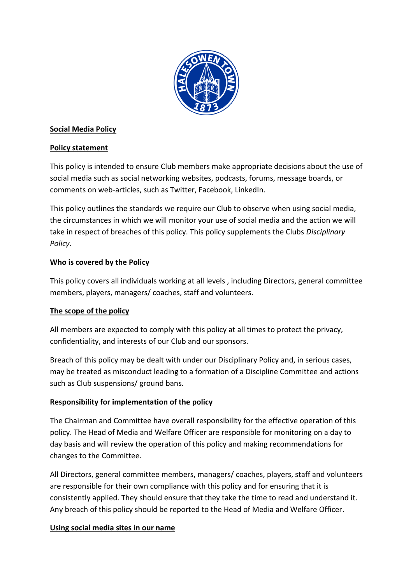

### **Social Media Policy**

### **Policy statement**

This policy is intended to ensure Club members make appropriate decisions about the use of social media such as social networking websites, podcasts, forums, message boards, or comments on web-articles, such as Twitter, Facebook, LinkedIn.

This policy outlines the standards we require our Club to observe when using social media, the circumstances in which we will monitor your use of social media and the action we will take in respect of breaches of this policy. This policy supplements the Clubs *Disciplinary Policy*.

### **Who is covered by the Policy**

This policy covers all individuals working at all levels , including Directors, general committee members, players, managers/ coaches, staff and volunteers.

# **The scope of the policy**

All members are expected to comply with this policy at all times to protect the privacy, confidentiality, and interests of our Club and our sponsors.

Breach of this policy may be dealt with under our Disciplinary Policy and, in serious cases, may be treated as misconduct leading to a formation of a Discipline Committee and actions such as Club suspensions/ ground bans.

# **Responsibility for implementation of the policy**

The Chairman and Committee have overall responsibility for the effective operation of this policy. The Head of Media and Welfare Officer are responsible for monitoring on a day to day basis and will review the operation of this policy and making recommendations for changes to the Committee.

All Directors, general committee members, managers/ coaches, players, staff and volunteers are responsible for their own compliance with this policy and for ensuring that it is consistently applied. They should ensure that they take the time to read and understand it. Any breach of this policy should be reported to the Head of Media and Welfare Officer.

### **Using social media sites in our name**